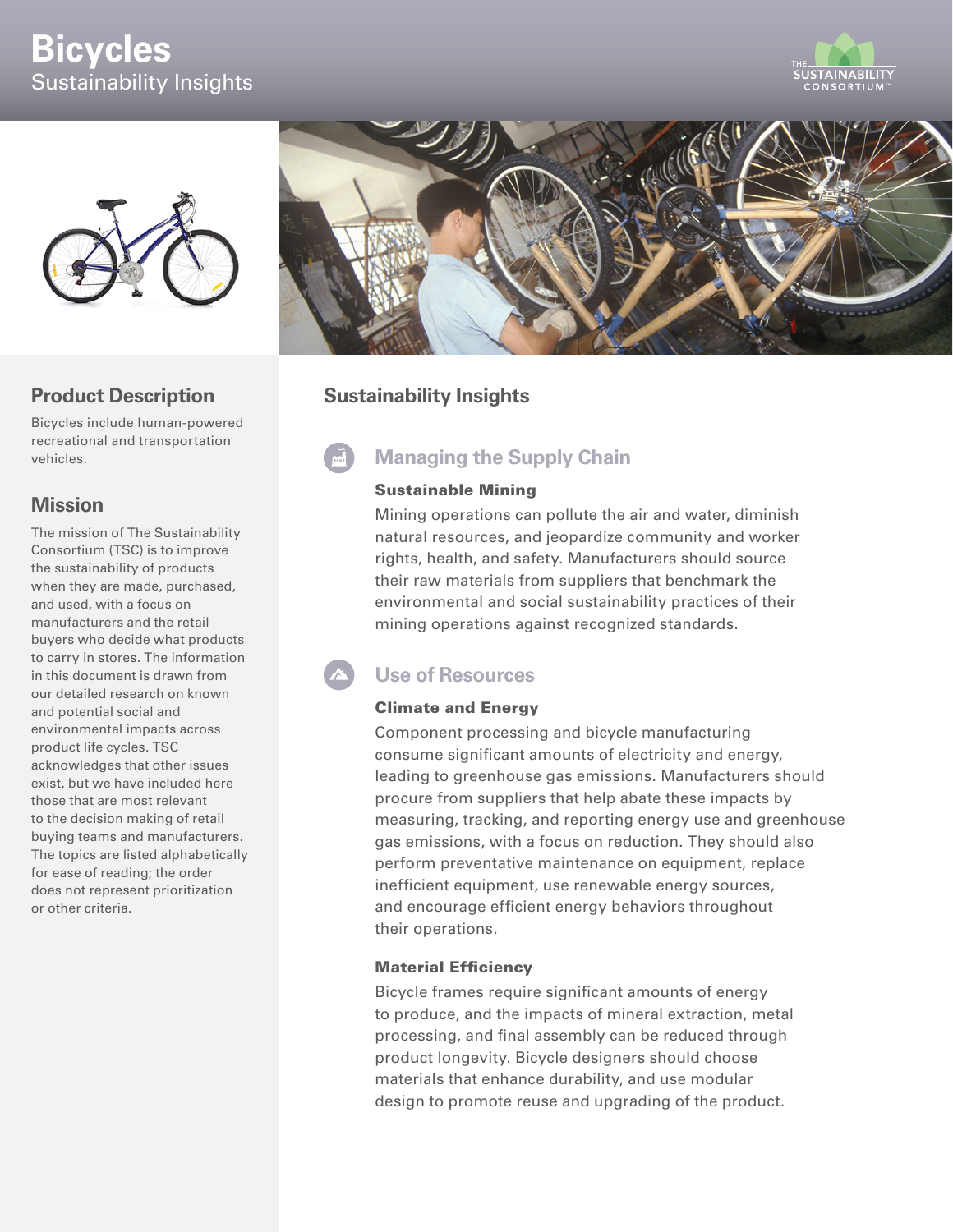# **Bicycles** Sustainability Insights





### **Product Description**

Bicycles include human-powered recreational and transportation vehicles.

### **Mission**

The mission of The Sustainability Consortium (TSC) is to improve the sustainability of products when they are made, purchased, and used, with a focus on manufacturers and the retail buyers who decide what products to carry in stores. The information in this document is drawn from our detailed research on known and potential social and environmental impacts across product life cycles. TSC acknowledges that other issues exist, but we have included here those that are most relevant to the decision making of retail buying teams and manufacturers. The topics are listed alphabetically for ease of reading; the order does not represent prioritization or other criteria.



### **Sustainability Insights**

## **Managing the Supply Chain**

#### Sustainable Mining

Mining operations can pollute the air and water, diminish natural resources, and jeopardize community and worker rights, health, and safety. Manufacturers should source their raw materials from suppliers that benchmark the environmental and social sustainability practices of their mining operations against recognized standards.

### **Use of Resources**

#### Climate and Energy

Component processing and bicycle manufacturing consume significant amounts of electricity and energy, leading to greenhouse gas emissions. Manufacturers should procure from suppliers that help abate these impacts by measuring, tracking, and reporting energy use and greenhouse gas emissions, with a focus on reduction. They should also perform preventative maintenance on equipment, replace inefficient equipment, use renewable energy sources, and encourage efficient energy behaviors throughout their operations.

#### Material Efficiency

Bicycle frames require significant amounts of energy to produce, and the impacts of mineral extraction, metal processing, and final assembly can be reduced through product longevity. Bicycle designers should choose materials that enhance durability, and use modular design to promote reuse and upgrading of the product.